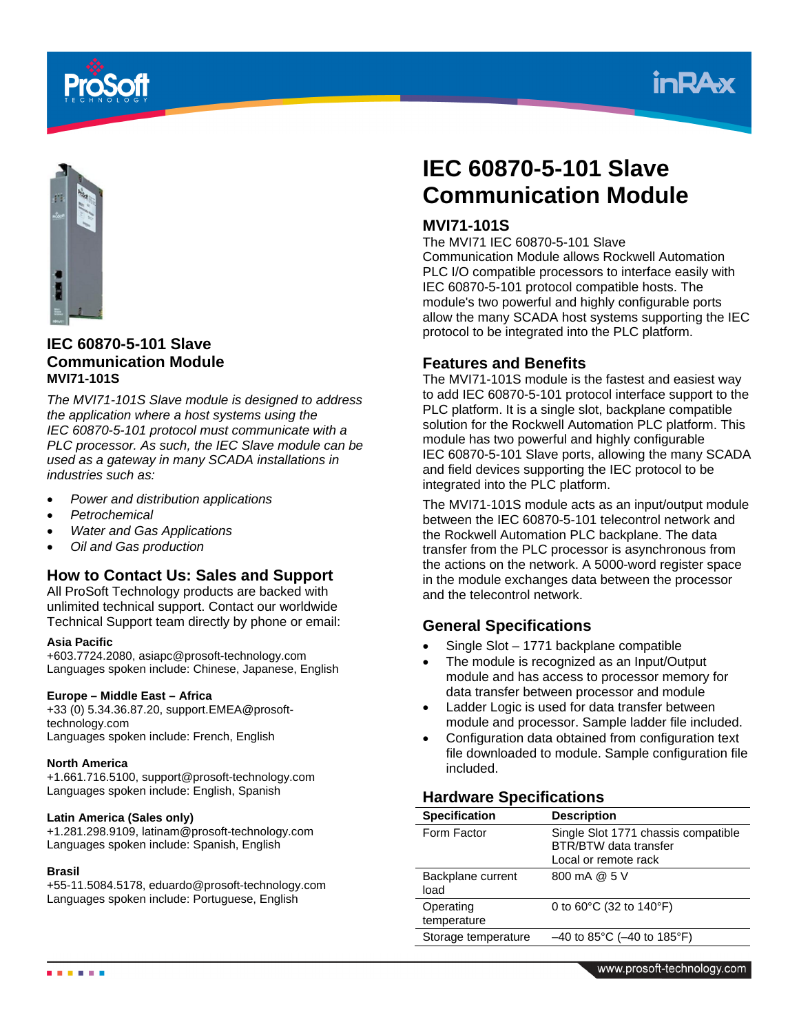





# **IEC 60870-5-101 Slave Communication Module MVI71-101S**

*The MVI71-101S Slave module is designed to address the application where a host systems using the IEC 60870-5-101 protocol must communicate with a PLC processor. As such, the IEC Slave module can be used as a gateway in many SCADA installations in industries such as:* 

- *Power and distribution applications*
- *Petrochemical*
- *Water and Gas Applications*
- *Oil and Gas production*

# **How to Contact Us: Sales and Support**

All ProSoft Technology products are backed with unlimited technical support. Contact our worldwide Technical Support team directly by phone or email:

#### **Asia Pacific**

+603.7724.2080, asiapc@prosoft-technology.com Languages spoken include: Chinese, Japanese, English

#### **Europe – Middle East – Africa**

+33 (0) 5.34.36.87.20, support.EMEA@prosofttechnology.com Languages spoken include: French, English

#### **North America**

+1.661.716.5100, support@prosoft-technology.com Languages spoken include: English, Spanish

#### **Latin America (Sales only)**

+1.281.298.9109, latinam@prosoft-technology.com Languages spoken include: Spanish, English

#### **Brasil**

+55-11.5084.5178, eduardo@prosoft-technology.com Languages spoken include: Portuguese, English

# **IEC 60870-5-101 Slave Communication Module**

# **MVI71-101S**

The MVI71 IEC 60870-5-101 Slave

Communication Module allows Rockwell Automation PLC I/O compatible processors to interface easily with IEC 60870-5-101 protocol compatible hosts. The module's two powerful and highly configurable ports allow the many SCADA host systems supporting the IEC protocol to be integrated into the PLC platform.

### **Features and Benefits**

The MVI71-101S module is the fastest and easiest way to add IEC 60870-5-101 protocol interface support to the PLC platform. It is a single slot, backplane compatible solution for the Rockwell Automation PLC platform. This module has two powerful and highly configurable IEC 60870-5-101 Slave ports, allowing the many SCADA and field devices supporting the IEC protocol to be integrated into the PLC platform.

The MVI71-101S module acts as an input/output module between the IEC 60870-5-101 telecontrol network and the Rockwell Automation PLC backplane. The data transfer from the PLC processor is asynchronous from the actions on the network. A 5000-word register space in the module exchanges data between the processor and the telecontrol network.

## **General Specifications**

- Single Slot 1771 backplane compatible
- The module is recognized as an Input/Output module and has access to processor memory for data transfer between processor and module
- Ladder Logic is used for data transfer between module and processor. Sample ladder file included.
- Configuration data obtained from configuration text file downloaded to module. Sample configuration file included.

# **Hardware Specifications**

| <b>Specification</b>      | <b>Description</b>                                                                          |
|---------------------------|---------------------------------------------------------------------------------------------|
| Form Factor               | Single Slot 1771 chassis compatible<br><b>BTR/BTW</b> data transfer<br>Local or remote rack |
| Backplane current<br>load | 800 mA @ 5 V                                                                                |
| Operating<br>temperature  | 0 to 60°C (32 to 140°F)                                                                     |
| Storage temperature       | $-40$ to 85°C ( $-40$ to 185°F)                                                             |